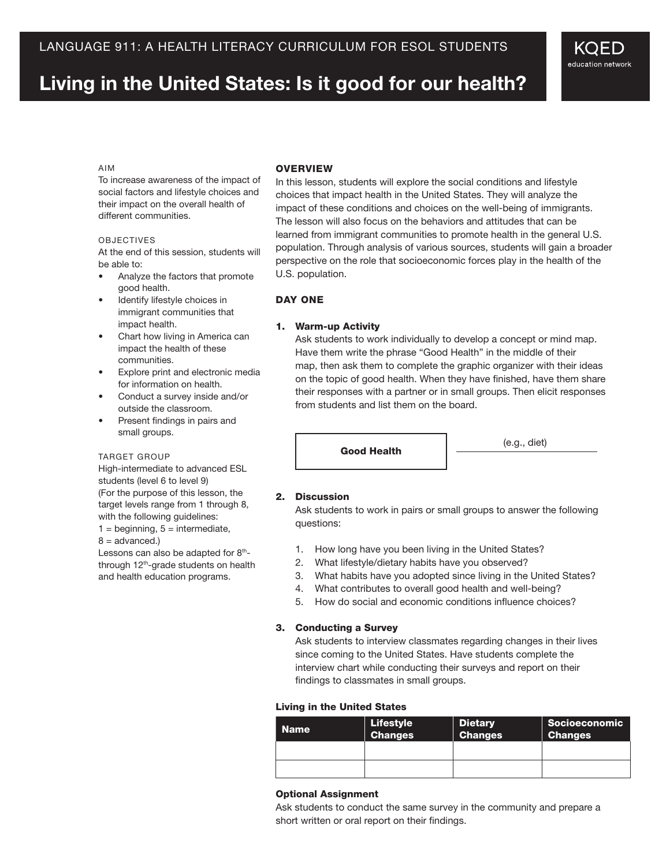# **Living in the United States: Is it good for our health?**

## Aim

To increase awareness of the impact of social factors and lifestyle choices and their impact on the overall health of different communities.

#### **OBJECTIVES**

At the end of this session, students will be able to:

- • Analyze the factors that promote good health.
- Identify lifestyle choices in immigrant communities that impact health.
- Chart how living in America can impact the health of these communities.
- • Explore print and electronic media for information on health.
- • Conduct a survey inside and/or outside the classroom.
- • Present findings in pairs and small groups.

#### TARGET GROUP

High-intermediate to advanced ESL students (level 6 to level 9) (For the purpose of this lesson, the target levels range from 1 through 8, with the following guidelines:  $1 =$  beginning,  $5 =$  intermediate,

 $8 =$  advanced.)

Lessons can also be adapted for 8<sup>th</sup>through 12<sup>th</sup>-grade students on health and health education programs.

# **OVERVIEW**

In this lesson, students will explore the social conditions and lifestyle choices that impact health in the United States. They will analyze the impact of these conditions and choices on the well-being of immigrants. The lesson will also focus on the behaviors and attitudes that can be learned from immigrant communities to promote health in the general U.S. population. Through analysis of various sources, students will gain a broader perspective on the role that socioeconomic forces play in the health of the U.S. population.

## DAY ONE

## 1. Warm-up Activity

Ask students to work individually to develop a concept or mind map. Have them write the phrase "Good Health" in the middle of their map, then ask them to complete the graphic organizer with their ideas on the topic of good health. When they have finished, have them share their responses with a partner or in small groups. Then elicit responses from students and list them on the board.

Good Health (e.g., diet)

KQED education network

## 2. Discussion

Ask students to work in pairs or small groups to answer the following questions:

- 1. How long have you been living in the United States?
- 2. What lifestyle/dietary habits have you observed?
- 3. What habits have you adopted since living in the United States?
- 4. What contributes to overall good health and well-being?
- 5. How do social and economic conditions influence choices?

#### 3. Conducting a Survey

Ask students to interview classmates regarding changes in their lives since coming to the United States. Have students complete the interview chart while conducting their surveys and report on their findings to classmates in small groups.

#### Living in the United States

| <b>Name</b> | <b>Lifestyle</b><br><b>Changes</b> | <b>Dietary</b><br><b>Changes</b> | <b>Socioeconomic</b><br><b>Changes</b> |
|-------------|------------------------------------|----------------------------------|----------------------------------------|
|             |                                    |                                  |                                        |
|             |                                    |                                  |                                        |

## Optional Assignment

Ask students to conduct the same survey in the community and prepare a short written or oral report on their findings.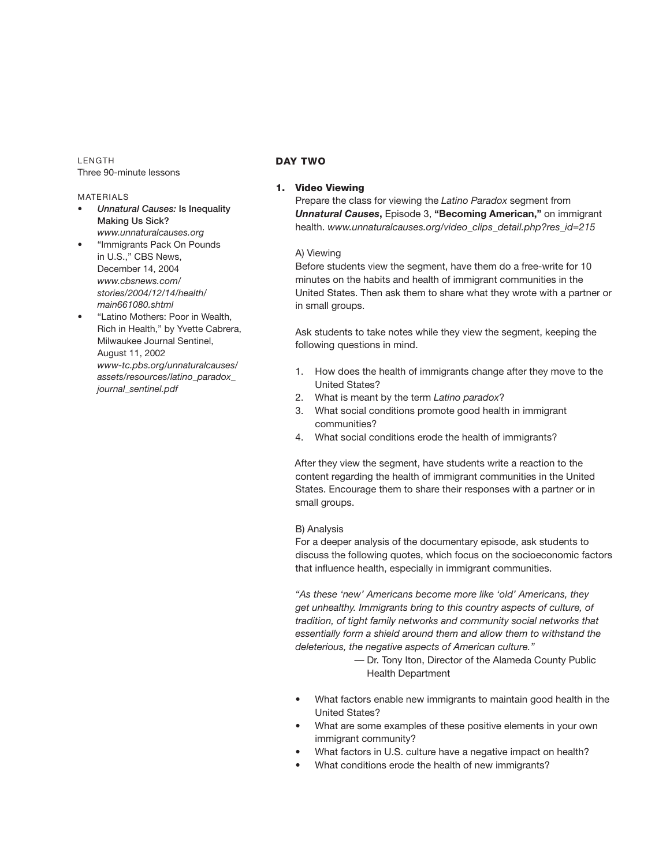**LENGTH** Three 90-minute lessons

## **MATERIALS**

- *Unnatural Causes:* Is Inequality Making Us Sick? *www.unnaturalcauses.org*
- "Immigrants Pack On Pounds in U.S.," CBS News, December 14, 2004 *www.cbsnews.com/ stories/2004/12/14/health/ main661080.shtml*
- "Latino Mothers: Poor in Wealth, Rich in Health," by Yvette Cabrera, Milwaukee Journal Sentinel, August 11, 2002 *www-tc.pbs.org/unnaturalcauses/ assets/resources/latino\_paradox\_ journal\_sentinel.pdf*

## Day Two

## 1. Video Viewing

 Prepare the class for viewing the *Latino Paradox* segment from *Unnatural Causes*, *Episode 3*, "**Becoming American**," on immigrant health. *www.unnaturalcauses.org/video\_clips\_detail.php?res\_id=215* 

#### A) Viewing

 Before students view the segment, have them do a free-write for 10 minutes on the habits and health of immigrant communities in the United States. Then ask them to share what they wrote with a partner or in small groups.

Ask students to take notes while they view the segment, keeping the following questions in mind.

- 1. How does the health of immigrants change after they move to the United States?
- 2. What is meant by the term *Latino paradox*?
- 3. What social conditions promote good health in immigrant communities?
- 4. What social conditions erode the health of immigrants?

 After they view the segment, have students write a reaction to the content regarding the health of immigrant communities in the United States. Encourage them to share their responses with a partner or in small groups.

## B) Analysis

For a deeper analysis of the documentary episode, ask students to discuss the following quotes, which focus on the socioeconomic factors that influence health, especially in immigrant communities.

*"As these 'new' Americans become more like 'old' Americans, they get unhealthy. Immigrants bring to this country aspects of culture, of tradition, of tight family networks and community social networks that essentially form a shield around them and allow them to withstand the deleterious, the negative aspects of American culture."* 

- Dr. Tony Iton, Director of the Alameda County Public Health Department
- What factors enable new immigrants to maintain good health in the United States?
- What are some examples of these positive elements in your own immigrant community?
- What factors in U.S. culture have a negative impact on health?
- What conditions erode the health of new immigrants?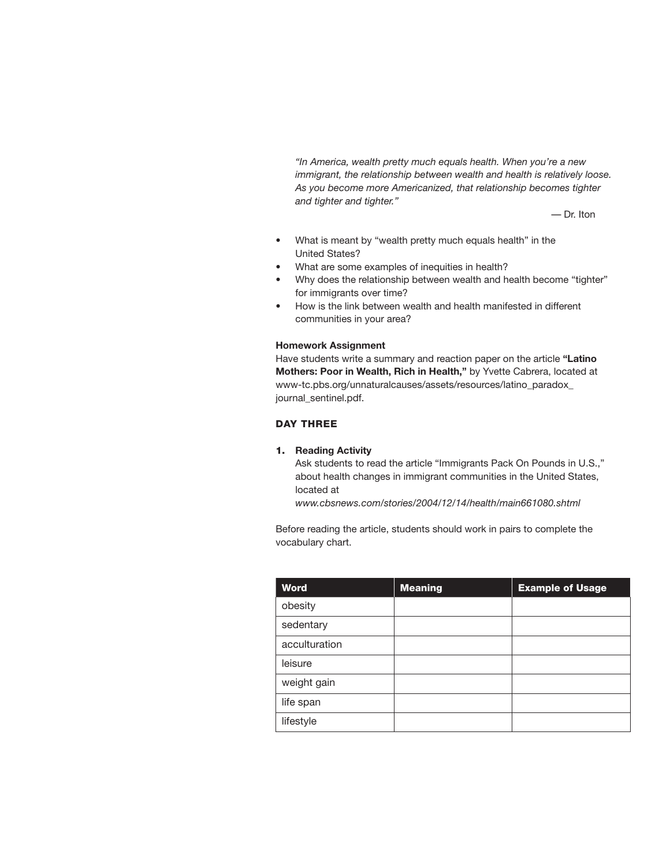*"In America, wealth pretty much equals health. When you're a new immigrant, the relationship between wealth and health is relatively loose. As you become more Americanized, that relationship becomes tighter and tighter and tighter."*

— Dr. Iton

- What is meant by "wealth pretty much equals health" in the United States?
- What are some examples of inequities in health?
- Why does the relationship between wealth and health become "tighter" for immigrants over time?
- How is the link between wealth and health manifested in different communities in your area?

#### **Homework Assignment**

Have students write a summary and reaction paper on the article **"Latino Mothers: Poor in Wealth, Rich in Health,"** by Yvette Cabrera, located at www-tc.pbs.org/unnaturalcauses/assets/resources/latino\_paradox\_ journal\_sentinel.pdf.

# DAY THREE

# 1. **Reading Activity**

 Ask students to read the article "Immigrants Pack On Pounds in U.S.," about health changes in immigrant communities in the United States, located at

*www.cbsnews.com/stories/2004/12/14/health/main661080.shtml*

Before reading the article, students should work in pairs to complete the vocabulary chart.

| <b>Word</b>   | <b>Meaning</b> | <b>Example of Usage</b> |
|---------------|----------------|-------------------------|
| obesity       |                |                         |
| sedentary     |                |                         |
| acculturation |                |                         |
| leisure       |                |                         |
| weight gain   |                |                         |
| life span     |                |                         |
| lifestyle     |                |                         |